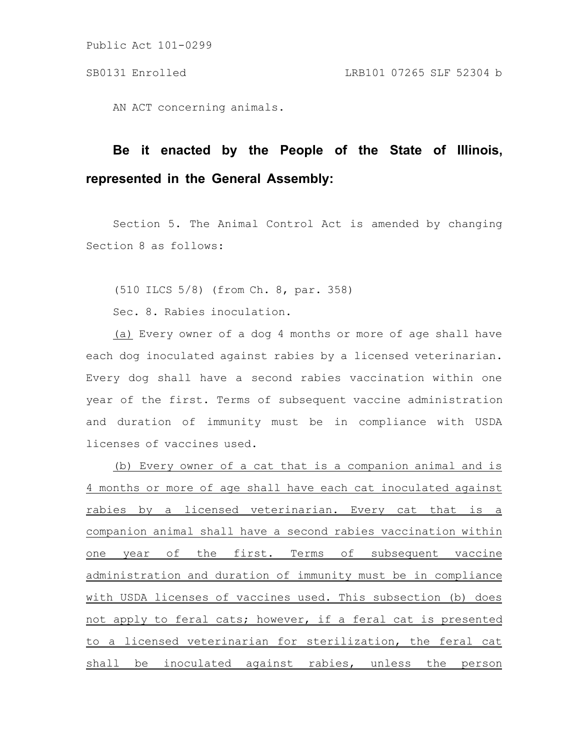Public Act 101-0299

AN ACT concerning animals.

## **Be it enacted by the People of the State of Illinois, represented in the General Assembly:**

Section 5. The Animal Control Act is amended by changing Section 8 as follows:

(510 ILCS 5/8) (from Ch. 8, par. 358)

Sec. 8. Rabies inoculation.

(a) Every owner of a dog 4 months or more of age shall have each dog inoculated against rabies by a licensed veterinarian. Every dog shall have a second rabies vaccination within one year of the first. Terms of subsequent vaccine administration and duration of immunity must be in compliance with USDA licenses of vaccines used.

(b) Every owner of a cat that is a companion animal and is 4 months or more of age shall have each cat inoculated against rabies by a licensed veterinarian. Every cat that is a companion animal shall have a second rabies vaccination within one year of the first. Terms of subsequent vaccine administration and duration of immunity must be in compliance with USDA licenses of vaccines used. This subsection (b) does not apply to feral cats; however, if a feral cat is presented to a licensed veterinarian for sterilization, the feral cat shall be inoculated against rabies, unless the person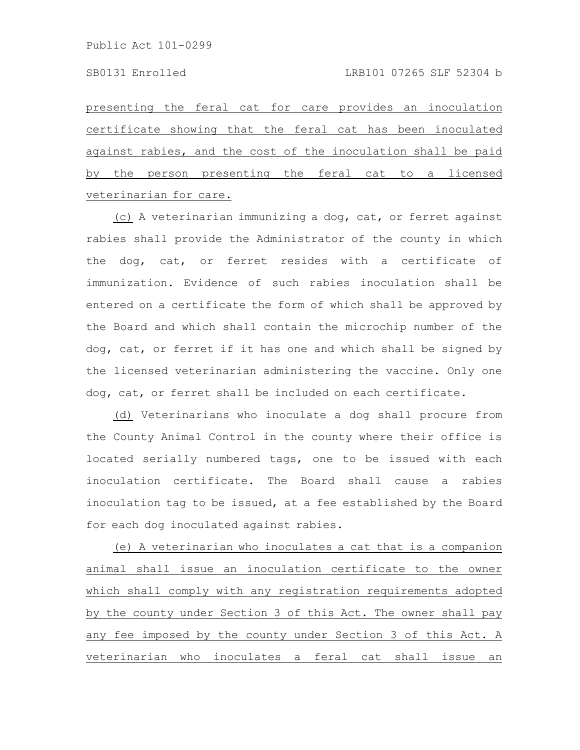presenting the feral cat for care provides an inoculation certificate showing that the feral cat has been inoculated against rabies, and the cost of the inoculation shall be paid by the person presenting the feral cat to a licensed veterinarian for care.

(c) A veterinarian immunizing a dog, cat, or ferret against rabies shall provide the Administrator of the county in which the dog, cat, or ferret resides with a certificate of immunization. Evidence of such rabies inoculation shall be entered on a certificate the form of which shall be approved by the Board and which shall contain the microchip number of the dog, cat, or ferret if it has one and which shall be signed by the licensed veterinarian administering the vaccine. Only one dog, cat, or ferret shall be included on each certificate.

(d) Veterinarians who inoculate a dog shall procure from the County Animal Control in the county where their office is located serially numbered tags, one to be issued with each inoculation certificate. The Board shall cause a rabies inoculation tag to be issued, at a fee established by the Board for each dog inoculated against rabies.

(e) A veterinarian who inoculates a cat that is a companion animal shall issue an inoculation certificate to the owner which shall comply with any registration requirements adopted by the county under Section 3 of this Act. The owner shall pay any fee imposed by the county under Section 3 of this Act. A veterinarian who inoculates a feral cat shall issue an